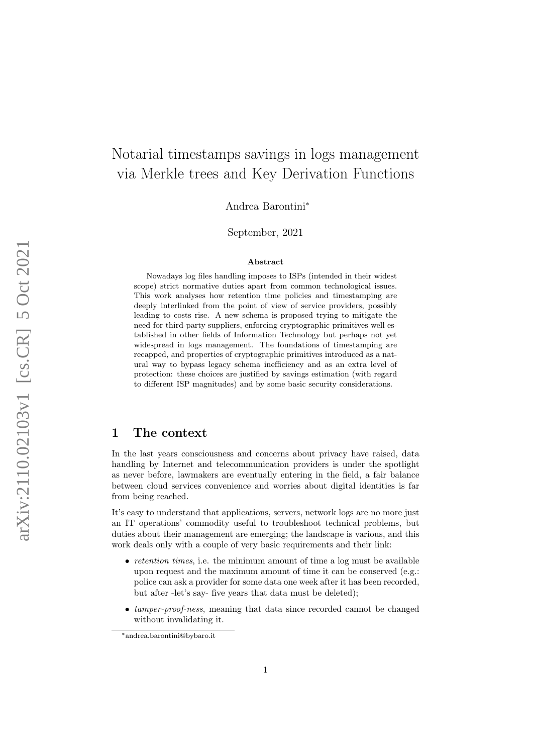# Notarial timestamps savings in logs management via Merkle trees and Key Derivation Functions

Andrea Barontini<sup>∗</sup>

September, 2021

#### Abstract

Nowadays log files handling imposes to ISPs (intended in their widest scope) strict normative duties apart from common technological issues. This work analyses how retention time policies and timestamping are deeply interlinked from the point of view of service providers, possibly leading to costs rise. A new schema is proposed trying to mitigate the need for third-party suppliers, enforcing cryptographic primitives well established in other fields of Information Technology but perhaps not yet widespread in logs management. The foundations of timestamping are recapped, and properties of cryptographic primitives introduced as a natural way to bypass legacy schema inefficiency and as an extra level of protection: these choices are justified by savings estimation (with regard to different ISP magnitudes) and by some basic security considerations.

#### 1 The context

In the last years consciousness and concerns about privacy have raised, data handling by Internet and telecommunication providers is under the spotlight as never before, lawmakers are eventually entering in the field, a fair balance between cloud services convenience and worries about digital identities is far from being reached.

It's easy to understand that applications, servers, network logs are no more just an IT operations' commodity useful to troubleshoot technical problems, but duties about their management are emerging; the landscape is various, and this work deals only with a couple of very basic requirements and their link:

- *retention times*, i.e. the minimum amount of time a log must be available upon request and the maximum amount of time it can be conserved (e.g.: police can ask a provider for some data one week after it has been recorded, but after -let's say- five years that data must be deleted);
- *tamper-proof-ness*, meaning that data since recorded cannot be changed without invalidating it.

<sup>∗</sup>andrea.barontini@bybaro.it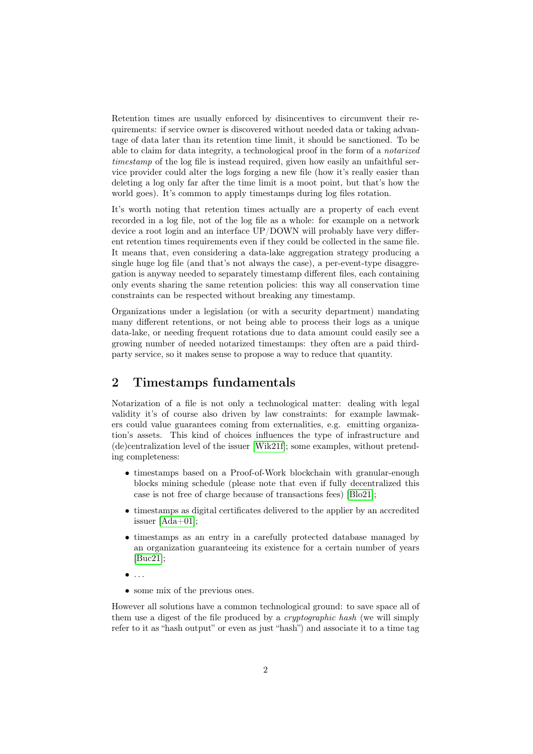Retention times are usually enforced by disincentives to circumvent their requirements: if service owner is discovered without needed data or taking advantage of data later than its retention time limit, it should be sanctioned. To be able to claim for data integrity, a technological proof in the form of a notarized timestamp of the log file is instead required, given how easily an unfaithful service provider could alter the logs forging a new file (how it's really easier than deleting a log only far after the time limit is a moot point, but that's how the world goes). It's common to apply timestamps during log files rotation.

It's worth noting that retention times actually are a property of each event recorded in a log file, not of the log file as a whole: for example on a network device a root login and an interface UP/DOWN will probably have very different retention times requirements even if they could be collected in the same file. It means that, even considering a data-lake aggregation strategy producing a single huge log file (and that's not always the case), a per-event-type disaggregation is anyway needed to separately timestamp different files, each containing only events sharing the same retention policies: this way all conservation time constraints can be respected without breaking any timestamp.

Organizations under a legislation (or with a security department) mandating many different retentions, or not being able to process their logs as a unique data-lake, or needing frequent rotations due to data amount could easily see a growing number of needed notarized timestamps: they often are a paid thirdparty service, so it makes sense to propose a way to reduce that quantity.

# 2 Timestamps fundamentals

Notarization of a file is not only a technological matter: dealing with legal validity it's of course also driven by law constraints: for example lawmakers could value guarantees coming from externalities, e.g. emitting organization's assets. This kind of choices influences the type of infrastructure and (de)centralization level of the issuer [\[Wik21f\]](#page-7-0); some examples, without pretending completeness:

- timestamps based on a Proof-of-Work blockchain with granular-enough blocks mining schedule (please note that even if fully decentralized this case is not free of charge because of transactions fees) [\[Blo21\]](#page-7-1);
- timestamps as digital certificates delivered to the applier by an accredited issuer [\[Ada+01\]](#page-7-2);
- timestamps as an entry in a carefully protected database managed by an organization guaranteeing its existence for a certain number of years [\[Buc21\]](#page-7-3);
- $\bullet$  ...
- some mix of the previous ones.

However all solutions have a common technological ground: to save space all of them use a digest of the file produced by a *cryptographic hash* (we will simply refer to it as "hash output" or even as just "hash") and associate it to a time tag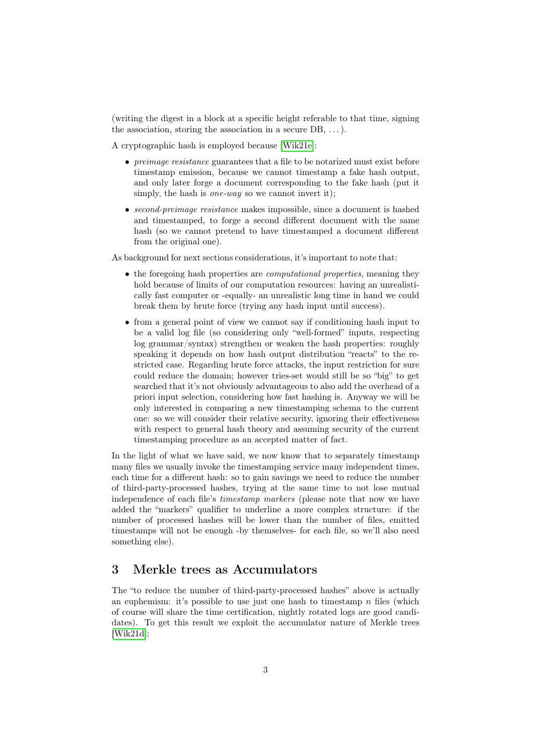(writing the digest in a block at a specific height referable to that time, signing the association, storing the association in a secure  $DB, \ldots$ ).

A cryptographic hash is employed because [\[Wik21e\]](#page-7-4):

- *preimage resistance* guarantees that a file to be notarized must exist before timestamp emission, because we cannot timestamp a fake hash output, and only later forge a document corresponding to the fake hash (put it simply, the hash is *one-way* so we cannot invert it);
- second-preimage resistance makes impossible, since a document is hashed and timestamped, to forge a second different document with the same hash (so we cannot pretend to have timestamped a document different from the original one).

As background for next sections considerations, it's important to note that:

- the foregoing hash properties are *computational properties*, meaning they hold because of limits of our computation resources: having an unrealistically fast computer or -equally- an unrealistic long time in hand we could break them by brute force (trying any hash input until success).
- from a general point of view we cannot say if conditioning hash input to be a valid log file (so considering only "well-formed" inputs, respecting log grammar/syntax) strengthen or weaken the hash properties: roughly speaking it depends on how hash output distribution "reacts" to the restricted case. Regarding brute force attacks, the input restriction for sure could reduce the domain; however tries-set would still be so "big" to get searched that it's not obviously advantageous to also add the overhead of a priori input selection, considering how fast hashing is. Anyway we will be only interested in comparing a new timestamping schema to the current one: so we will consider their relative security, ignoring their effectiveness with respect to general hash theory and assuming security of the current timestamping procedure as an accepted matter of fact.

In the light of what we have said, we now know that to separately timestamp many files we usually invoke the timestamping service many independent times, each time for a different hash: so to gain savings we need to reduce the number of third-party-processed hashes, trying at the same time to not lose mutual independence of each file's timestamp markers (please note that now we have added the "markers" qualifier to underline a more complex structure: if the number of processed hashes will be lower than the number of files, emitted timestamps will not be enough -by themselves- for each file, so we'll also need something else).

# 3 Merkle trees as Accumulators

The "to reduce the number of third-party-processed hashes" above is actually an euphemism: it's possible to use just one hash to timestamp  $n$  files (which of course will share the time certification, nightly rotated logs are good candidates). To get this result we exploit the accumulator nature of Merkle trees [\[Wik21d\]](#page-7-5):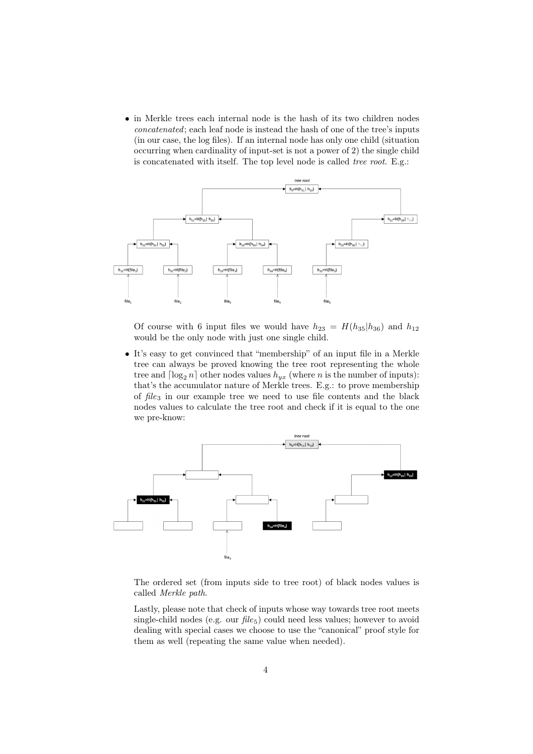• in Merkle trees each internal node is the hash of its two children nodes concatenated; each leaf node is instead the hash of one of the tree's inputs (in our case, the log files). If an internal node has only one child (situation occurring when cardinality of input-set is not a power of 2) the single child is concatenated with itself. The top level node is called tree root. E.g.:



Of course with 6 input files we would have  $h_{23} = H(h_{35}|h_{36})$  and  $h_{12}$ would be the only node with just one single child.

• It's easy to get convinced that "membership" of an input file in a Merkle tree can always be proved knowing the tree root representing the whole tree and  $\lceil \log_2 n \rceil$  other nodes values  $h_{yx}$  (where n is the number of inputs): that's the accumulator nature of Merkle trees. E.g.: to prove membership of  $file_3$  in our example tree we need to use file contents and the black nodes values to calculate the tree root and check if it is equal to the one we pre-know:



The ordered set (from inputs side to tree root) of black nodes values is called Merkle path.

Lastly, please note that check of inputs whose way towards tree root meets single-child nodes (e.g. our  $file_5$ ) could need less values; however to avoid dealing with special cases we choose to use the "canonical" proof style for them as well (repeating the same value when needed).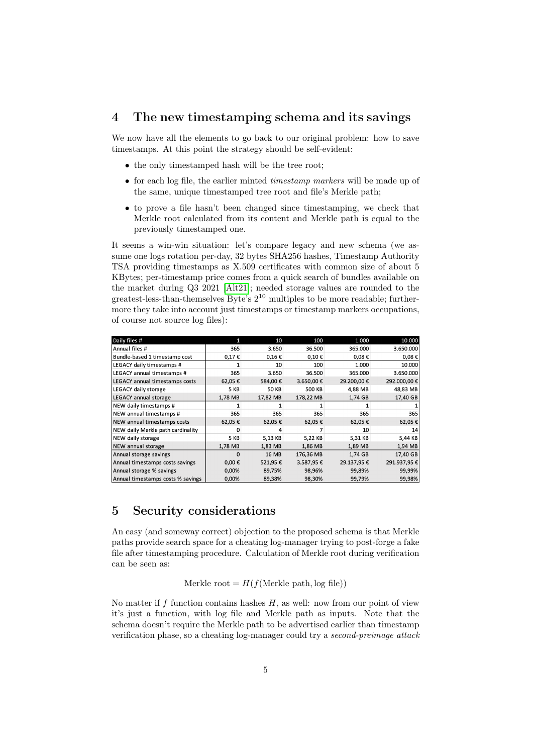## 4 The new timestamping schema and its savings

We now have all the elements to go back to our original problem: how to save timestamps. At this point the strategy should be self-evident:

- the only timestamped hash will be the tree root;
- for each log file, the earlier minted timestamp markers will be made up of the same, unique timestamped tree root and file's Merkle path;
- to prove a file hasn't been changed since timestamping, we check that Merkle root calculated from its content and Merkle path is equal to the previously timestamped one.

It seems a win-win situation: let's compare legacy and new schema (we assume one logs rotation per-day, 32 bytes SHA256 hashes, Timestamp Authority TSA providing timestamps as X.509 certificates with common size of about 5 KBytes; per-timestamp price comes from a quick search of bundles available on the market during Q3 2021 [\[Alt21\]](#page-7-6); needed storage values are rounded to the greatest-less-than-themselves Byte's 2 <sup>10</sup> multiples to be more readable; furthermore they take into account just timestamps or timestamp markers occupations, of course not source log files):

| Daily files #                     |            | 10         | 100           | 1.000           | 10.000      |
|-----------------------------------|------------|------------|---------------|-----------------|-------------|
| Annual files #                    | 365        | 3.650      | 36.500        | 365.000         | 3.650.000   |
| Bundle-based 1 timestamp cost     | 0,17€      | $0,16 \in$ | $0,10 \in$    | $0.08 \epsilon$ | $0,08 \in$  |
| LEGACY daily timestamps #         |            | 10         | 100           | 1.000           | 10.000      |
| LEGACY annual timestamps #        | 365        | 3.650      | 36.500        | 365.000         | 3.650.000   |
| LEGACY annual timestamps costs    | 62,05€     | 584,00€    | 3.650,00€     | 29.200,00€      | 292.000,00€ |
| LEGACY daily storage              | 5 KB       | 50 KB      | <b>500 KB</b> | 4,88 MB         | 48,83 MB    |
| LEGACY annual storage             | 1.78 MB    | 17.82 MB   | 178.22 MB     | 1,74 GB         | 17.40 GB    |
| NEW daily timestamps #            |            |            |               |                 |             |
| NEW annual timestamps #           | 365        | 365        | 365           | 365             | 365         |
| NEW annual timestamps costs       | 62,05€     | 62,05€     | 62,05€        | 62,05€          | 62,05€      |
| NEW daily Merkle path cardinality | 0          |            |               | 10              | 14          |
| NEW daily storage                 | 5 KB       | 5,13 KB    | 5,22 KB       | 5,31 KB         | 5,44 KB     |
| NEW annual storage                | 1,78 MB    | 1,83 MB    | 1,86 MB       | 1,89 MB         | 1.94 MB     |
| Annual storage savings            | 0          | 16 MB      | 176,36 MB     | 1.74 GB         | 17,40 GB    |
| Annual timestamps costs savings   | $0,00 \in$ | 521,95€    | 3.587,95€     | 29.137,95€      | 291.937,95€ |
| Annual storage % savings          | 0,00%      | 89,75%     | 98,96%        | 99,89%          | 99,99%      |
| Annual timestamps costs % savings | 0,00%      | 89,38%     | 98,30%        | 99,79%          | 99,98%      |

#### 5 Security considerations

An easy (and someway correct) objection to the proposed schema is that Merkle paths provide search space for a cheating log-manager trying to post-forge a fake file after timestamping procedure. Calculation of Merkle root during verification can be seen as:

Merkle root =  $H(f(\text{Merkle path}, \log \text{ file}))$ 

No matter if f function contains hashes  $H$ , as well: now from our point of view it's just a function, with log file and Merkle path as inputs. Note that the schema doesn't require the Merkle path to be advertised earlier than timestamp verification phase, so a cheating log-manager could try a second-preimage attack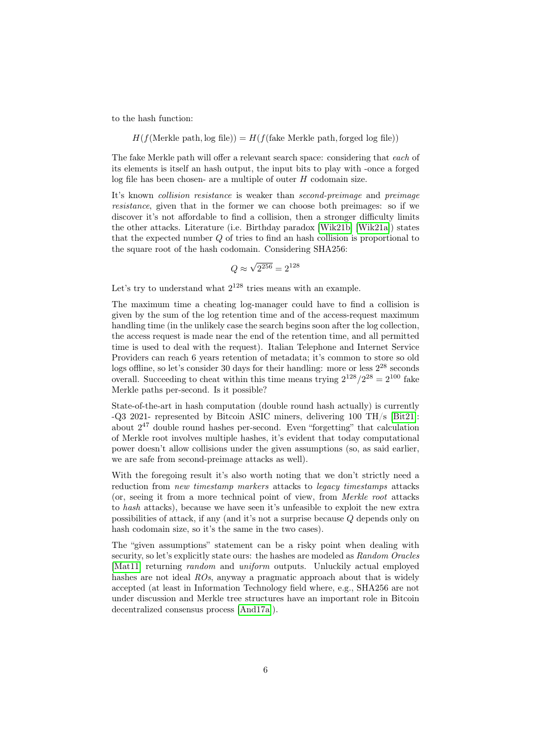to the hash function:

$$
H(f(\text{Merkle path}, \log \text{ file})) = H(f(\text{fake Merkle path}, \text{forget log file}))
$$

The fake Merkle path will offer a relevant search space: considering that each of its elements is itself an hash output, the input bits to play with -once a forged log file has been chosen- are a multiple of outer  $H$  codomain size.

It's known collision resistance is weaker than second-preimage and preimage resistance, given that in the former we can choose both preimages: so if we discover it's not affordable to find a collision, then a stronger difficulty limits the other attacks. Literature (i.e. Birthday paradox [\[Wik21b\]](#page-7-7) [\[Wik21a\]](#page-7-8)) states that the expected number Q of tries to find an hash collision is proportional to the square root of the hash codomain. Considering SHA256:

$$
Q \approx \sqrt{2^{256}} = 2^{128}
$$

Let's try to understand what  $2^{128}$  tries means with an example.

The maximum time a cheating log-manager could have to find a collision is given by the sum of the log retention time and of the access-request maximum handling time (in the unlikely case the search begins soon after the log collection, the access request is made near the end of the retention time, and all permitted time is used to deal with the request). Italian Telephone and Internet Service Providers can reach 6 years retention of metadata; it's common to store so old logs offline, so let's consider 30 days for their handling: more or less  $2^{28}$  seconds overall. Succeeding to cheat within this time means trying  $2^{128}/2^{28} = 2^{100}$  fake Merkle paths per-second. Is it possible?

State-of-the-art in hash computation (double round hash actually) is currently -Q3 2021- represented by Bitcoin ASIC miners, delivering 100 TH/s [\[Bit21\]](#page-7-9): about  $2^{47}$  double round hashes per-second. Even "forgetting" that calculation of Merkle root involves multiple hashes, it's evident that today computational power doesn't allow collisions under the given assumptions (so, as said earlier, we are safe from second-preimage attacks as well).

With the foregoing result it's also worth noting that we don't strictly need a reduction from *new timestamp markers* attacks to *legacy timestamps* attacks (or, seeing it from a more technical point of view, from Merkle root attacks to hash attacks), because we have seen it's unfeasible to exploit the new extra possibilities of attack, if any (and it's not a surprise because Q depends only on hash codomain size, so it's the same in the two cases).

The "given assumptions" statement can be a risky point when dealing with security, so let's explicitly state ours: the hashes are modeled as Random Oracles [\[Mat11\]](#page-7-10) returning *random* and *uniform* outputs. Unluckily actual employed hashes are not ideal ROs, anyway a pragmatic approach about that is widely accepted (at least in Information Technology field where, e.g., SHA256 are not under discussion and Merkle tree structures have an important role in Bitcoin decentralized consensus process [\[And17a\]](#page-7-11)).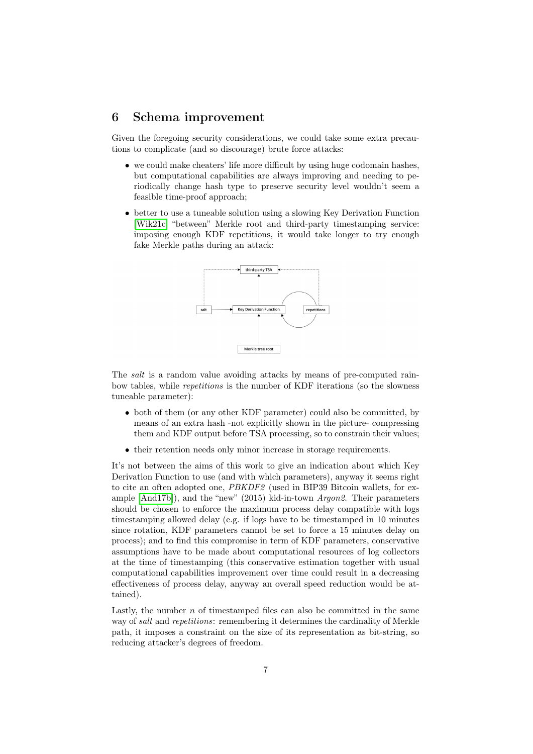#### 6 Schema improvement

Given the foregoing security considerations, we could take some extra precautions to complicate (and so discourage) brute force attacks:

- we could make cheaters' life more difficult by using huge codomain hashes, but computational capabilities are always improving and needing to periodically change hash type to preserve security level wouldn't seem a feasible time-proof approach;
- better to use a tuneable solution using a slowing Key Derivation Function [\[Wik21c\]](#page-7-12) "between" Merkle root and third-party timestamping service: imposing enough KDF repetitions, it would take longer to try enough fake Merkle paths during an attack:



The salt is a random value avoiding attacks by means of pre-computed rainbow tables, while repetitions is the number of KDF iterations (so the slowness tuneable parameter):

- both of them (or any other KDF parameter) could also be committed, by means of an extra hash -not explicitly shown in the picture- compressing them and KDF output before TSA processing, so to constrain their values;
- their retention needs only minor increase in storage requirements.

It's not between the aims of this work to give an indication about which Key Derivation Function to use (and with which parameters), anyway it seems right to cite an often adopted one, PBKDF2 (used in BIP39 Bitcoin wallets, for example [\[And17b\]](#page-7-13)), and the "new" (2015) kid-in-town Argon2. Their parameters should be chosen to enforce the maximum process delay compatible with logs timestamping allowed delay (e.g. if logs have to be timestamped in 10 minutes since rotation, KDF parameters cannot be set to force a 15 minutes delay on process); and to find this compromise in term of KDF parameters, conservative assumptions have to be made about computational resources of log collectors at the time of timestamping (this conservative estimation together with usual computational capabilities improvement over time could result in a decreasing effectiveness of process delay, anyway an overall speed reduction would be attained).

Lastly, the number  $n$  of timestamped files can also be committed in the same way of salt and repetitions: remembering it determines the cardinality of Merkle path, it imposes a constraint on the size of its representation as bit-string, so reducing attacker's degrees of freedom.